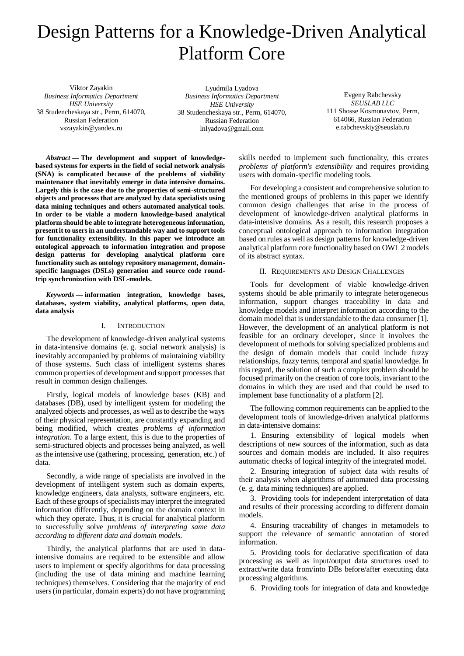# Design Patterns for a Knowledge-Driven Analytical Platform Core

Viktor Zayakin *Business Informatics Department HSE University* 38 Studencheskaya str., Perm, 614070, Russian Federation vszayakin@yandex.ru

Lyudmila Lyadova *Business Informatics Department HSE University* 38 Studencheskaya str., Perm, 614070, Russian Federation lnlyadova@gmail.com

Evgeny Rabchevsky *SEUSLAB LLC* 111 Shosse Kosmonavtov, Perm, 614066, Russian Federation e.rabchevskiy@seuslab.ru

*Abstract* **— The development and support of knowledgebased systems for experts in the field of social network analysis (SNA) is complicated because of the problems of viability maintenance that inevitably emerge in data intensive domains. Largely this is the case due to the properties of semi-structured objects and processes that are analyzed by data specialists using data mining techniques and others automated analytical tools. In order to be viable a modern knowledge-based analytical platform should be able to integrate heterogeneous information, present it to users in an understandable way and to support tools for functionality extensibility. In this paper we introduce an ontological approach to information integration and propose design patterns for developing analytical platform core functionality such as ontology repository management, domainspecific languages (DSLs) generation and source code roundtrip synchronization with DSL-models.**

*Keywords —* **information integration, knowledge bases, databases, system viability, analytical platforms, open data, data analysis**

#### I. INTRODUCTION

The development of knowledge-driven analytical systems in data-intensive domains (e. g. social network analysis) is inevitably accompanied by problems of maintaining viability of those systems. Such class of intelligent systems shares common properties of development and support processes that result in common design challenges.

Firstly, logical models of knowledge bases (KB) and databases (DB), used by intelligent system for modeling the analyzed objects and processes, as well as to describe the ways of their physical representation, are constantly expanding and being modified, which creates *problems of information integration*. To a large extent, this is due to the properties of semi-structured objects and processes being analyzed, as well as the intensive use (gathering, processing, generation, etc.) of data.

Secondly, a wide range of specialists are involved in the development of intelligent system such as domain experts, knowledge engineers, data analysts, software engineers, etc. Each of these groups of specialists may interpret the integrated information differently, depending on the domain context in which they operate. Thus, it is crucial for analytical platform to successfully solve *problems of interpreting same data according to different data and domain models*.

Thirdly, the analytical platforms that are used in dataintensive domains are required to be extensible and allow users to implement or specify algorithms for data processing (including the use of data mining and machine learning techniques) themselves. Considering that the majority of end users (in particular, domain experts) do not have programming

skills needed to implement such functionality, this creates *problems of platform's extensibility* and requires providing users with domain-specific modeling tools.

For developing a consistent and comprehensive solution to the mentioned groups of problems in this paper we identify common design challenges that arise in the process of development of knowledge-driven analytical platforms in data-intensive domains. As a result, this research proposes a conceptual ontological approach to information integration based on rules as well as design patterns for knowledge-driven analytical platform core functionality based on OWL 2 models of its abstract syntax.

### II. REQUIREMENTS AND DESIGN CHALLENGES

Tools for development of viable knowledge-driven systems should be able primarily to integrate heterogeneous information, support changes traceability in data and knowledge models and interpret information according to the domain model that is understandable to the data consumer [1]. However, the development of an analytical platform is not feasible for an ordinary developer, since it involves the development of methods for solving specialized problems and the design of domain models that could include fuzzy relationships, fuzzy terms, temporal and spatial knowledge. In this regard, the solution of such a complex problem should be focused primarily on the creation of core tools, invariant to the domains in which they are used and that could be used to implement base functionality of a platform [2].

The following common requirements can be applied to the development tools of knowledge-driven analytical platforms in data-intensive domains:

1. Ensuring extensibility of logical models when descriptions of new sources of the information, such as data sources and domain models are included. It also requires automatic checks of logical integrity of the integrated model.

2. Ensuring integration of subject data with results of their analysis when algorithms of automated data processing (e. g. data mining techniques) are applied.

3. Providing tools for independent interpretation of data and results of their processing according to different domain models.

4. Ensuring traceability of changes in metamodels to support the relevance of semantic annotation of stored information.

5. Providing tools for declarative specification of data processing as well as input/output data structures used to extract/write data from/into DBs before/after executing data processing algorithms.

6. Providing tools for integration of data and knowledge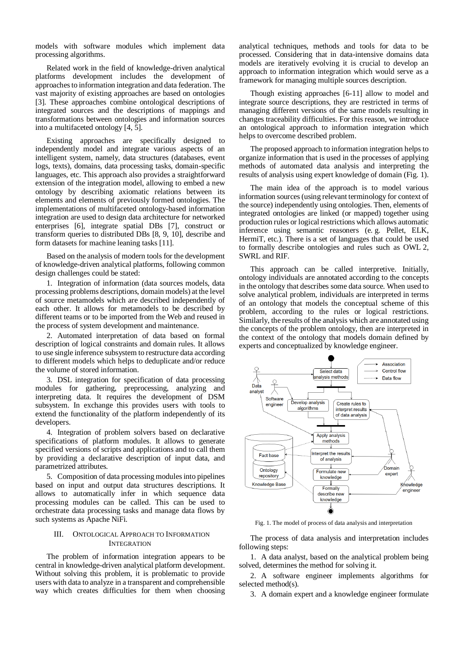models with software modules which implement data processing algorithms.

Related work in the field of knowledge-driven analytical platforms development includes the development of approaches to information integration and data federation. The vast majority of existing approaches are based on ontologies [3]. These approaches combine ontological descriptions of integrated sources and the descriptions of mappings and transformations between ontologies and information sources into a multifaceted ontology [4, 5].

Existing approaches are specifically designed to independently model and integrate various aspects of an intelligent system, namely, data structures (databases, event logs, texts), domains, data processing tasks, domain-specific languages, etc. This approach also provides a straightforward extension of the integration model, allowing to embed a new ontology by describing axiomatic relations between its elements and elements of previously formed ontologies. The implementations of multifaceted ontology-based information integration are used to design data architecture for networked enterprises [6], integrate spatial DBs [7], construct or transform queries to distributed DBs [8, 9, 10], describe and form datasets for machine leaning tasks [11].

Based on the analysis of modern tools for the development of knowledge-driven analytical platforms, following common design challenges could be stated:

1. Integration of information (data sources models, data processing problems descriptions, domain models) at the level of source metamodels which are described independently of each other. It allows for metamodels to be described by different teams or to be imported from the Web and reused in the process of system development and maintenance.

2. Automated interpretation of data based on formal description of logical constraints and domain rules. It allows to use single inference subsystem to restructure data according to different models which helps to deduplicate and/or reduce the volume of stored information.

3. DSL integration for specification of data processing modules for gathering, preprocessing, analyzing and interpreting data. It requires the development of DSM subsystem. In exchange this provides users with tools to extend the functionality of the platform independently of its developers.

4. Integration of problem solvers based on declarative specifications of platform modules. It allows to generate specified versions of scripts and applications and to call them by providing a declarative description of input data, and parametrized attributes.

5. Composition of data processing modules into pipelines based on input and output data structures descriptions. It allows to automatically infer in which sequence data processing modules can be called. This can be used to orchestrate data processing tasks and manage data flows by such systems as Apache NiFi.

## III. ONTOLOGICAL APPROACH TO INFORMATION **INTEGRATION**

The problem of information integration appears to be central in knowledge-driven analytical platform development. Without solving this problem, it is problematic to provide users with data to analyze in a transparent and comprehensible way which creates difficulties for them when choosing analytical techniques, methods and tools for data to be processed. Considering that in data-intensive domains data models are iteratively evolving it is crucial to develop an approach to information integration which would serve as a framework for managing multiple sources description.

Though existing approaches [6-11] allow to model and integrate source descriptions, they are restricted in terms of managing different versions of the same models resulting in changes traceability difficulties. For this reason, we introduce an ontological approach to information integration which helps to overcome described problem.

The proposed approach to information integration helps to organize information that is used in the processes of applying methods of automated data analysis and interpreting the results of analysis using expert knowledge of domain (Fig. 1).

The main idea of the approach is to model various information sources (using relevant terminology for context of the source) independently using ontologies. Then, elements of integrated ontologies are linked (or mapped) together using production rules or logical restrictions which allows automatic inference using semantic reasoners (e. g. Pellet, ELK, HermiT, etc.). There is a set of languages that could be used to formally describe ontologies and rules such as OWL 2, SWRL and RIF.

This approach can be called interpretive. Initially, ontology individuals are annotated according to the concepts in the ontology that describes some data source. When used to solve analytical problem, individuals are interpreted in terms of an ontology that models the conceptual scheme of this problem, according to the rules or logical restrictions. Similarly, the results of the analysis which are annotated using the concepts of the problem ontology, then are interpreted in the context of the ontology that models domain defined by experts and conceptualized by knowledge engineer.



Fig. 1. The model of process of data analysis and interpretation

The process of data analysis and interpretation includes following steps:

1. A data analyst, based on the analytical problem being solved, determines the method for solving it.

2. A software engineer implements algorithms for selected method(s).

3. A domain expert and a knowledge engineer formulate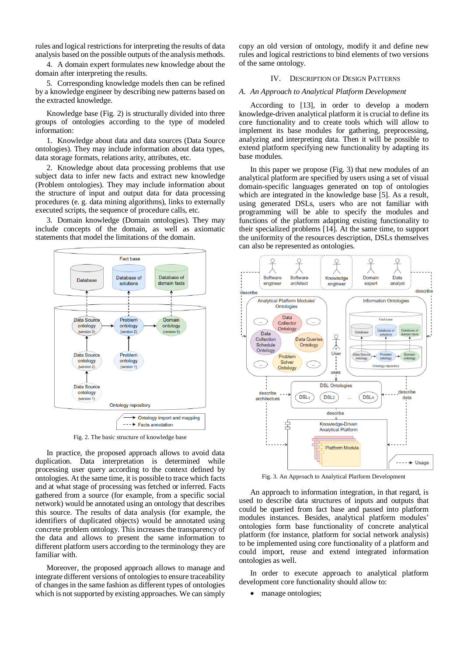rules and logical restrictions for interpreting the results of data analysis based on the possible outputs of the analysis methods.

4. A domain expert formulates new knowledge about the domain after interpreting the results.

5. Corresponding knowledge models then can be refined by a knowledge engineer by describing new patterns based on the extracted knowledge.

Knowledge base (Fig. 2) is structurally divided into three groups of ontologies according to the type of modeled information:

1. Knowledge about data and data sources (Data Source ontologies). They may include information about data types, data storage formats, relations arity, attributes, etc.

2. Knowledge about data processing problems that use subject data to infer new facts and extract new knowledge (Problem ontologies). They may include information about the structure of input and output data for data processing procedures (e. g. data mining algorithms), links to externally executed scripts, the sequence of procedure calls, etc.

3. Domain knowledge (Domain ontologies). They may include concepts of the domain, as well as axiomatic statements that model the limitations of the domain.



Fig. 2. The basic structure of knowledge base

In practice, the proposed approach allows to avoid data duplication. Data interpretation is determined while processing user query according to the context defined by ontologies. At the same time, it is possible to trace which facts and at what stage of processing was fetched or inferred. Facts gathered from a source (for example, from a specific social network) would be annotated using an ontology that describes this source. The results of data analysis (for example, the identifiers of duplicated objects) would be annotated using concrete problem ontology. This increases the transparency of the data and allows to present the same information to different platform users according to the terminology they are familiar with.

Moreover, the proposed approach allows to manage and integrate different versions of ontologies to ensure traceability of changes in the same fashion as different types of ontologies which is not supported by existing approaches. We can simply copy an old version of ontology, modify it and define new rules and logical restrictions to bind elements of two versions of the same ontology.

## IV. DESCRIPTION OF DESIGN PATTERNS

## *A. An Approach to Analytical Platform Development*

According to [13], in order to develop a modern knowledge-driven analytical platform it is crucial to define its core functionality and to create tools which will allow to implement its base modules for gathering, preprocessing, analyzing and interpreting data. Then it will be possible to extend platform specifying new functionality by adapting its base modules.

In this paper we propose (Fig. 3) that new modules of an analytical platform are specified by users using a set of visual domain-specific languages generated on top of ontologies which are integrated in the knowledge base [5]. As a result, using generated DSLs, users who are not familiar with programming will be able to specify the modules and functions of the platform adapting existing functionality to their specialized problems [14]. At the same time, to support the uniformity of the resources description, DSLs themselves can also be represented as ontologies.



Fig. 3. An Approach to Analytical Platform Development

An approach to information integration, in that regard, is used to describe data structures of inputs and outputs that could be queried from fact base and passed into platform modules instances. Besides, analytical platform modules' ontologies form base functionality of concrete analytical platform (for instance, platform for social network analysis) to be implemented using core functionality of a platform and could import, reuse and extend integrated information ontologies as well.

In order to execute approach to analytical platform development core functionality should allow to:

manage ontologies;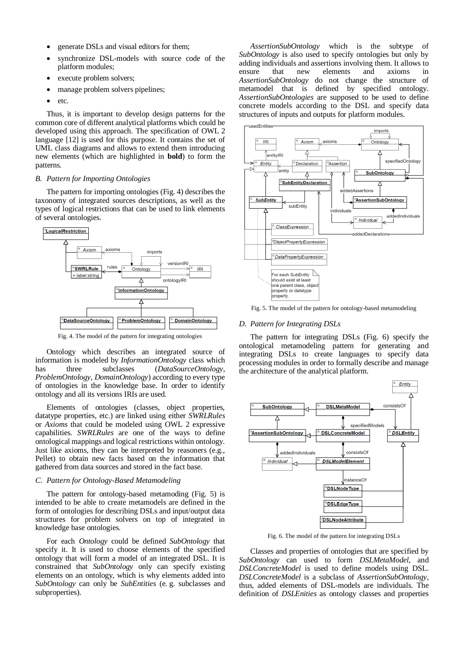- generate DSLs and visual editors for them;
- synchronize DSL-models with source code of the platform modules;
- execute problem solvers;
- manage problem solvers pipelines;
- $e$  etc.

Thus, it is important to develop design patterns for the common core of different analytical platforms which could be developed using this approach. The specification of OWL 2 language [12] is used for this purpose. It contains the set of UML class diagrams and allows to extend them introducing new elements (which are highlighted in **bold**) to form the patterns.

## *B. Pattern for Importing Ontologies*

The pattern for importing ontologies (Fig. 4) describes the taxonomy of integrated sources descriptions, as well as the types of logical restrictions that can be used to link elements of several ontologies.



Fig. 4. The model of the pattern for integrating ontologies

Ontology which describes an integrated source of information is modeled by *InformationOntology* class which has three subclasses (*DataSourceOntology*, *ProblemOntology*, *DomainOntology*) according to every type of ontologies in the knowledge base. In order to identify ontology and all its versions IRIs are used.

Elements of ontologies (classes, object properties, datatype properties, etc.) are linked using either *SWRLRules*  or *Axioms* that could be modeled using OWL 2 expressive capabilities. *SWRLRules* are one of the ways to define ontological mappings and logical restrictions within ontology. Just like axioms, they can be interpreted by reasoners (e.g., Pellet) to obtain new facts based on the information that gathered from data sources and stored in the fact base.

## *C. Pattern for Ontology-Based Metamodeling*

The pattern for ontology-based metamoding (Fig. 5) is intended to be able to create metamodels are defined in the form of ontologies for describing DSLs and input/output data structures for problem solvers on top of integrated in knowledge base ontologies.

For each *Ontology* could be defined *SubOntology* that specify it. It is used to choose elements of the specified ontology that will form a model of an integrated DSL. It is constrained that *SubOntology* only can specify existing elements on an ontology, which is why elements added into *SubOntology* can only be *SubEntities* (e. g. subclasses and subproperties).

*AssertionSubOntology* which is the subtype of *SubOntology* is also used to specify ontologies but only by adding individuals and assertions involving them. It allows to ensure that new elements and axioms in *AssertionSubOntology* do not change the structure of metamodel that is defined by specified ontology. *AssertionSubOntologies* are supposed to be used to define concrete models according to the DSL and specify data structures of inputs and outputs for platform modules.



Fig. 5. The model of the pattern for ontology-based metamodeling

#### *D. Pattern for Integrating DSLs*

The pattern for integrating DSLs (Fig. 6) specify the ontological metamodeling pattern for generating and integrating DSLs to create languages to specify data processing modules in order to formally describe and manage the architecture of the analytical platform.



Fig. 6. The model of the pattern for integrating DSLs

Classes and properties of ontologies that are specified by *SubOntology* can used to form *DSLMetaModel*, and *DSLConcreteModel* is used to define models using DSL. *DSLConcreteModel* is a subclass of *AssertionSubOntology*, thus, added elements of DSL-models are individuals. The definition of *DSLEnities* as ontology classes and properties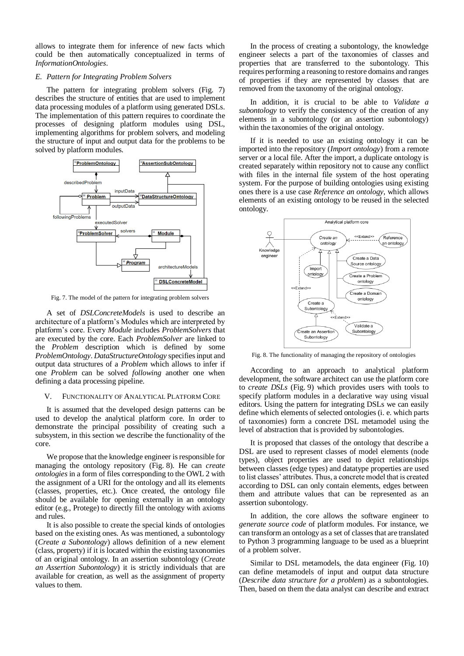allows to integrate them for inference of new facts which could be then automatically conceptualized in terms of *InformationOntologies*.

## *E. Pattern for Integrating Problem Solvers*

The pattern for integrating problem solvers (Fig. 7) describes the structure of entities that are used to implement data processing modules of a platform using generated DSLs. The implementation of this pattern requires to coordinate the processes of designing platform modules using DSL, implementing algorithms for problem solvers, and modeling the structure of input and output data for the problems to be solved by platform modules.



Fig. 7. The model of the pattern for integrating problem solvers

A set of *DSLConcreteModels* is used to describe an architecture of a platform's Modules which are interpreted by platform's core. Every *Module* includes *ProblemSolvers* that are executed by the core. Each *ProblemSolver* are linked to the *Problem* description which is defined by some *ProblemOntology*. *DataStructureOntology* specifies input and output data structures of a *Problem* which allows to infer if one *Problem* can be solved *following* another one when defining a data processing pipeline.

## V. FUNCTIONALITY OF ANALYTICAL PLATFORM CORE

It is assumed that the developed design patterns can be used to develop the analytical platform core. In order to demonstrate the principal possibility of creating such a subsystem, in this section we describe the functionality of the core.

We propose that the knowledge engineer is responsible for managing the ontology repository (Fig. 8). He can *create ontologies* in a form of files corresponding to the OWL 2 with the assignment of a URI for the ontology and all its elements (classes, properties, etc.). Once created, the ontology file should be available for opening externally in an ontology editor (e.g., Protege) to directly fill the ontology with axioms and rules.

It is also possible to create the special kinds of ontologies based on the existing ones. As was mentioned, a subontology (*Create a Subontology*) allows definition of a new element (class, property) if it is located within the existing taxonomies of an original ontology. In an assertion subontology (*Create an Assertion Subontology*) it is strictly individuals that are available for creation, as well as the assignment of property values to them.

In the process of creating a subontology, the knowledge engineer selects a part of the taxonomies of classes and properties that are transferred to the subontology. This requires performing a reasoning to restore domains and ranges of properties if they are represented by classes that are removed from the taxonomy of the original ontology.

In addition, it is crucial to be able to *Validate a subontology* to verify the consistency of the creation of any elements in a subontology (or an assertion subontology) within the taxonomies of the original ontology.

If it is needed to use an existing ontology it can be imported into the repository (*Import ontology*) from a remote server or a local file. After the import, a duplicate ontology is created separately within repository not to cause any conflict with files in the internal file system of the host operating system. For the purpose of building ontologies using existing ones there is a use case *Reference an ontology*, which allows elements of an existing ontology to be reused in the selected ontology.



Fig. 8. The functionality of managing the repository of ontologies

According to an approach to analytical platform development, the software architect can use the platform core to *create DSLs* (Fig. 9) which provides users with tools to specify platform modules in a declarative way using visual editors. Using the pattern for integrating DSLs we can easily define which elements of selected ontologies (i. e. which parts of taxonomies) form a concrete DSL metamodel using the level of abstraction that is provided by subontologies.

It is proposed that classes of the ontology that describe a DSL are used to represent classes of model elements (node types), object properties are used to depict relationships between classes (edge types) and datatype properties are used to list classes' attributes. Thus, a concrete model that is created according to DSL can only contain elements, edges between them and attribute values that can be represented as an assertion subontology.

In addition, the core allows the software engineer to *generate source code* of platform modules. For instance, we can transform an ontology as a set of classes that are translated to Python 3 programming language to be used as a blueprint of a problem solver.

Similar to DSL metamodels, the data engineer (Fig. 10) can define metamodels of input and output data structure (*Describe data structure for a problem*) as a subontologies. Then, based on them the data analyst can describe and extract